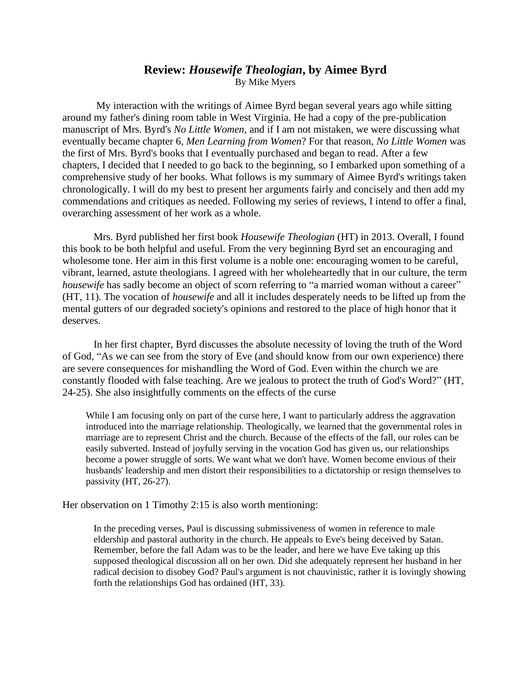## **Review:** *Housewife Theologian***, by Aimee Byrd** By Mike Myers

 My interaction with the writings of Aimee Byrd began several years ago while sitting around my father's dining room table in West Virginia. He had a copy of the pre-publication manuscript of Mrs. Byrd's *No Little Women*, and if I am not mistaken, we were discussing what eventually became chapter 6*, Men Learning from Women*? For that reason*, No Little Women* was the first of Mrs. Byrd's books that I eventually purchased and began to read. After a few chapters, I decided that I needed to go back to the beginning, so I embarked upon something of a comprehensive study of her books. What follows is my summary of Aimee Byrd's writings taken chronologically. I will do my best to present her arguments fairly and concisely and then add my commendations and critiques as needed. Following my series of reviews, I intend to offer a final, overarching assessment of her work as a whole.

Mrs. Byrd published her first book *Housewife Theologian* (HT) in 2013. Overall, I found this book to be both helpful and useful. From the very beginning Byrd set an encouraging and wholesome tone. Her aim in this first volume is a noble one: encouraging women to be careful, vibrant, learned, astute theologians. I agreed with her wholeheartedly that in our culture, the term *housewife* has sadly become an object of scorn referring to "a married woman without a career" (HT, 11). The vocation of *housewife* and all it includes desperately needs to be lifted up from the mental gutters of our degraded society's opinions and restored to the place of high honor that it deserves.

In her first chapter, Byrd discusses the absolute necessity of loving the truth of the Word of God, "As we can see from the story of Eve (and should know from our own experience) there are severe consequences for mishandling the Word of God. Even within the church we are constantly flooded with false teaching. Are we jealous to protect the truth of God's Word?" (HT, 24-25). She also insightfully comments on the effects of the curse

While I am focusing only on part of the curse here, I want to particularly address the aggravation introduced into the marriage relationship. Theologically, we learned that the governmental roles in marriage are to represent Christ and the church. Because of the effects of the fall, our roles can be easily subverted. Instead of joyfully serving in the vocation God has given us, our relationships become a power struggle of sorts. We want what we don't have. Women become envious of their husbands' leadership and men distort their responsibilities to a dictatorship or resign themselves to passivity (HT, 26-27).

Her observation on 1 Timothy 2:15 is also worth mentioning:

In the preceding verses, Paul is discussing submissiveness of women in reference to male eldership and pastoral authority in the church. He appeals to Eve's being deceived by Satan. Remember, before the fall Adam was to be the leader, and here we have Eve taking up this supposed theological discussion all on her own. Did she adequately represent her husband in her radical decision to disobey God? Paul's argument is not chauvinistic, rather it is lovingly showing forth the relationships God has ordained (HT, 33).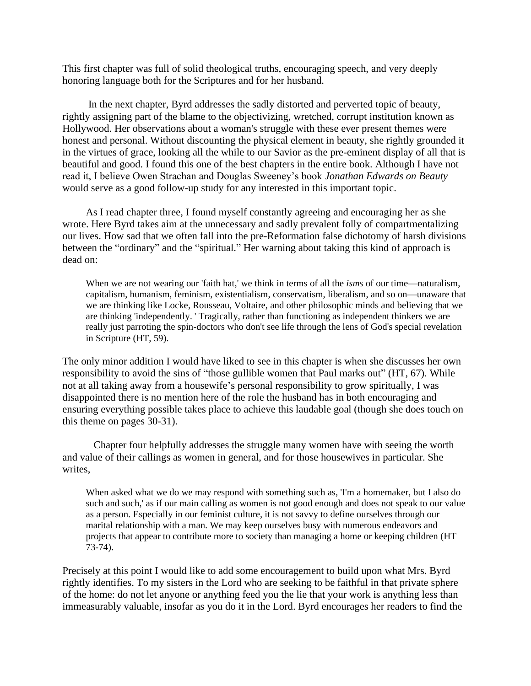This first chapter was full of solid theological truths, encouraging speech, and very deeply honoring language both for the Scriptures and for her husband.

 In the next chapter, Byrd addresses the sadly distorted and perverted topic of beauty, rightly assigning part of the blame to the objectivizing, wretched, corrupt institution known as Hollywood. Her observations about a woman's struggle with these ever present themes were honest and personal. Without discounting the physical element in beauty, she rightly grounded it in the virtues of grace, looking all the while to our Savior as the pre-eminent display of all that is beautiful and good. I found this one of the best chapters in the entire book. Although I have not read it, I believe Owen Strachan and Douglas Sweeney's book *Jonathan Edwards on Beauty*  would serve as a good follow-up study for any interested in this important topic.

As I read chapter three, I found myself constantly agreeing and encouraging her as she wrote. Here Byrd takes aim at the unnecessary and sadly prevalent folly of compartmentalizing our lives. How sad that we often fall into the pre-Reformation false dichotomy of harsh divisions between the "ordinary" and the "spiritual." Her warning about taking this kind of approach is dead on:

When we are not wearing our 'faith hat,' we think in terms of all the *isms* of our time—naturalism, capitalism, humanism, feminism, existentialism, conservatism, liberalism, and so on—unaware that we are thinking like Locke, Rousseau, Voltaire, and other philosophic minds and believing that we are thinking 'independently. ' Tragically, rather than functioning as independent thinkers we are really just parroting the spin-doctors who don't see life through the lens of God's special revelation in Scripture (HT, 59).

The only minor addition I would have liked to see in this chapter is when she discusses her own responsibility to avoid the sins of "those gullible women that Paul marks out" (HT, 67). While not at all taking away from a housewife's personal responsibility to grow spiritually, I was disappointed there is no mention here of the role the husband has in both encouraging and ensuring everything possible takes place to achieve this laudable goal (though she does touch on this theme on pages 30-31).

Chapter four helpfully addresses the struggle many women have with seeing the worth and value of their callings as women in general, and for those housewives in particular. She writes.

When asked what we do we may respond with something such as, 'I'm a homemaker, but I also do such and such,' as if our main calling as women is not good enough and does not speak to our value as a person. Especially in our feminist culture, it is not savvy to define ourselves through our marital relationship with a man. We may keep ourselves busy with numerous endeavors and projects that appear to contribute more to society than managing a home or keeping children (HT 73-74).

Precisely at this point I would like to add some encouragement to build upon what Mrs. Byrd rightly identifies. To my sisters in the Lord who are seeking to be faithful in that private sphere of the home: do not let anyone or anything feed you the lie that your work is anything less than immeasurably valuable, insofar as you do it in the Lord. Byrd encourages her readers to find the